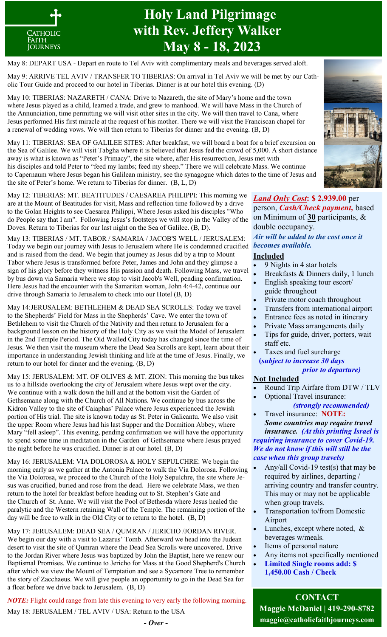

## **Holy Land Pilgrimage with Rev. Jeffery Walker May 8 - 18, 2023**

May 8: DEPART USA - Depart en route to Tel Aviv with complimentary meals and beverages served aloft.

May 9: ARRIVE TEL AVIV / TRANSFER TO TIBERIAS: On arrival in Tel Aviv we will be met by our Catholic Tour Guide and proceed to our hotel in Tiberias. Dinner is at our hotel this evening. (D)

May 10: TIBERIAS: NAZARETH / CANA: Drive to Nazareth, the site of Mary's home and the town where Jesus played as a child, learned a trade, and grew to manhood. We will have Mass in the Church of the Annunciation, time permitting we will visit other sites in the city. We will then travel to Cana, where Jesus performed His first miracle at the request of his mother. There we will visit the Franciscan chapel for a renewal of wedding vows. We will then return to Tiberias for dinner and the evening. (B, D)

May 11: TIBERIAS: SEA OF GALILEE SITES: After breakfast, we will board a boat for a brief excursion on the Sea of Galilee. We will visit Tabgha where it is believed that Jesus fed the crowd of 5,000. A short distance away is what is known as "Peter's Primacy", the site where, after His resurrection, Jesus met with his disciples and told Peter to "feed my lambs; feed my sheep." There we will celebrate Mass. We continue to Capernaum where Jesus began his Galilean ministry, see the synagogue which dates to the time of Jesus and the site of Peter's home. We return to Tiberias for dinner. (B, L, D)

May 12: TIBERIAS: MT. BEATITUDES / CAESAREA PHILIPPI: This morning we are at the Mount of Beatitudes for visit, Mass and reflection time followed by a drive to the Golan Heights to see Caesarea Philippi, Where Jesus asked his disciples "Who do People say that I am". Following Jesus's footsteps we will stop in the Valley of the Doves. Return to Tiberias for our last night on the Sea of Galilee. (B, D).

May 13: TIBERIAS / MT. TABOR / SAMARIA / JACOB'S WELL / JERUSALEM: Today we begin our journey with Jesus to Jerusalem where He is condemned crucified *becomes available.*  and is raised from the dead. We begin that journey as Jesus did by a trip to Mount Tabor where Jesus is transformed before Peter, James and John and they glimpse a sign of his glory before they witness His passion and death. Following Mass, we travel by bus down via Samaria where we stop to visit Jacob's Well, pending confirmation. Here Jesus had the encounter with the Samaritan woman, John 4:4-42, continue our drive through Samaria to Jerusalem to check into our Hotel (B, D)

May 14:JERUSALEM: BETHLEHEM & DEAD SEA SCROLLS: Today we travel to the Shepherds' Field for Mass in the Shepherds' Cave. We enter the town of Bethlehem to visit the Church of the Nativity and then return to Jerusalem for a background lesson on the history of the Holy City as we visit the Model of Jerusalem in the 2nd Temple Period. The Old Walled City today has changed since the time of Jesus. We then visit the museum where the Dead Sea Scrolls are kept, learn about their importance in understanding Jewish thinking and life at the time of Jesus. Finally, we return to our hotel for dinner and the evening. (B, D)

May 15: JERUSALEM: MT. OF OLIVES & MT. ZION: This morning the bus takes us to a hillside overlooking the city of Jerusalem where Jesus wept over the city. We continue with a walk down the hill and at the bottom visit the Garden of Gethsemane along with the Church of All Nations. We continue by bus across the Kidron Valley to the site of Caiaphas' Palace where Jesus experienced the Jewish portion of His trial. The site is known today as St. Peter in Galicantu. We also visit the upper Room where Jesus had his last Supper and the Dormition Abbey, where Mary "fell asleep". This evening, pending confirmation we will have the opportunity to spend some time in meditation in the Garden of Gethsemane where Jesus prayed the night before he was crucified. Dinner is at our hotel. (B, D)

May 16: JERUSALEM: VIA DOLOROSA & HOLY SEPULCHRE: We begin the morning early as we gather at the Antonia Palace to walk the Via Dolorosa. Following the Via Dolorosa, we proceed to the Church of the Holy Sepulchre, the site where Jesus was crucified, buried and rose from the dead. Here we celebrate Mass, we then return to the hotel for breakfast before heading out to St. Stephen's Gate and the Church of St. Anne. We will visit the Pool of Bethesda where Jesus healed the paralytic and the Western retaining Wall of the Temple. The remaining portion of the day will be free to walk in the Old City or to return to the hotel. (B, D)

May 17: JERUSALEM: DEAD SEA / QUMRAN / JERICHO /JORDAN RIVER. We begin our day with a visit to Lazarus' Tomb. Afterward we head into the Judean desert to visit the site of Qumran where the Dead Sea Scrolls were uncovered. Drive to the Jordan River where Jesus was baptized by John the Baptist, here we renew our Baptismal Promises. We continue to Jericho for Mass at the Good Shepherd's Church after which we view the Mount of Temptation and see a Sycamore Tree to remember the story of Zacchaeus. We will give people an opportunity to go in the Dead Sea for a float before we drive back to Jerusalem. (B, D)

*NOTE:* Flight could range from late this evening to very early the following morning. May 18: JERUSALEM / TEL AVIV / USA: Return to the USA



*Land Only Cost***: \$ 2,939.00** per person, *Cash/Check payment,* based on Minimum of **30** participants, & double occupancy.

*Air will be added to the cost once it* 

## **Included**

- 9 Nights in 4 star hotels
- Breakfasts & Dinners daily, 1 lunch
- English speaking tour escort/ guide throughout
- Private motor coach throughout
- Transfers from international airport
- Entrance fees as noted in itinerary
- Private Mass arrangements daily
- Tips for guide, driver, porters, wait staff etc.
- Taxes and fuel surcharge **(***subject to increase 30 days prior to departure)*

## **Not Included**

- Round Trip Airfare from DTW / TLV
- Optional Travel insurance:  *(strongly recommended)*
- Travel insurance: **NOTE:**  *Some countries may require travel*

 *insurance. (At this printing Israel is requiring insurance to cover Covid-19. We do not know if this will still be the case when this group travels)*

- Any/all Covid-19 test(s) that may be required by airlines, departing / arriving country and transfer country. This may or may not be applicable when group travels.
- Transportation to/from Domestic Airport
- Lunches, except where noted, & beverages w/meals.
- Items of personal nature
- Any items not specifically mentioned
- **Limited Single rooms add: \$ 1,450.00 Cash / Check**

**CONTACT Maggie McDaniel | 419-290-8782 maggie@catholicfaithjourneys.com**